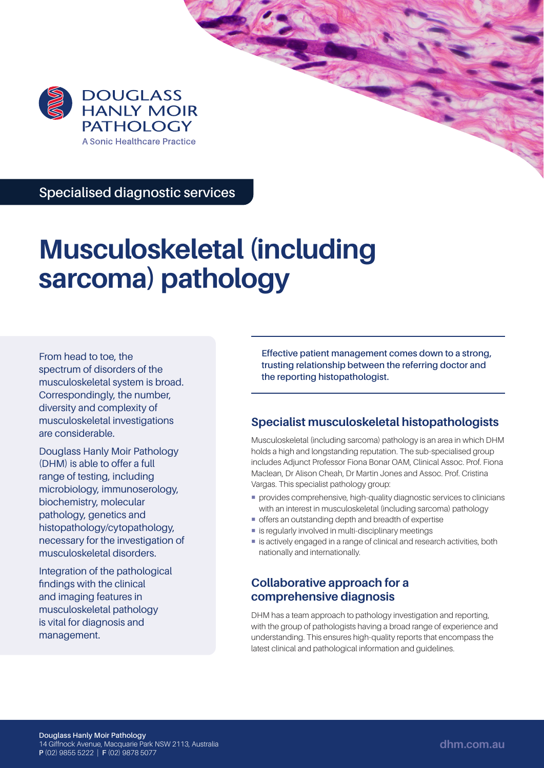

**Specialised diagnostic services**

# **Musculoskeletal (including sarcoma) pathology**

From head to toe, the spectrum of disorders of the musculoskeletal system is broad. Correspondingly, the number, diversity and complexity of musculoskeletal investigations are considerable.

Douglass Hanly Moir Pathology (DHM) is able to offer a full range of testing, including microbiology, immunoserology, biochemistry, molecular pathology, genetics and histopathology/cytopathology, necessary for the investigation of musculoskeletal disorders.

Integration of the pathological findings with the clinical and imaging features in musculoskeletal pathology is vital for diagnosis and management.

**Effective patient management comes down to a strong, trusting relationship between the referring doctor and the reporting histopathologist.**

# **Specialist musculoskeletal histopathologists**

Musculoskeletal (including sarcoma) pathology is an area in which DHM holds a high and longstanding reputation. The sub-specialised group includes Adjunct Professor Fiona Bonar OAM, Clinical Assoc. Prof. Fiona Maclean, Dr Alison Cheah, Dr Martin Jones and Assoc. Prof. Cristina Vargas. This specialist pathology group:

- provides comprehensive, high-quality diagnostic services to clinicians with an interest in musculoskeletal (including sarcoma) pathology
- offers an outstanding depth and breadth of expertise
- **E** is regularly involved in multi-disciplinary meetings
- is actively engaged in a range of clinical and research activities, both nationally and internationally.

## **Collaborative approach for a comprehensive diagnosis**

DHM has a team approach to pathology investigation and reporting, with the group of pathologists having a broad range of experience and understanding. This ensures high-quality reports that encompass the latest clinical and pathological information and guidelines.